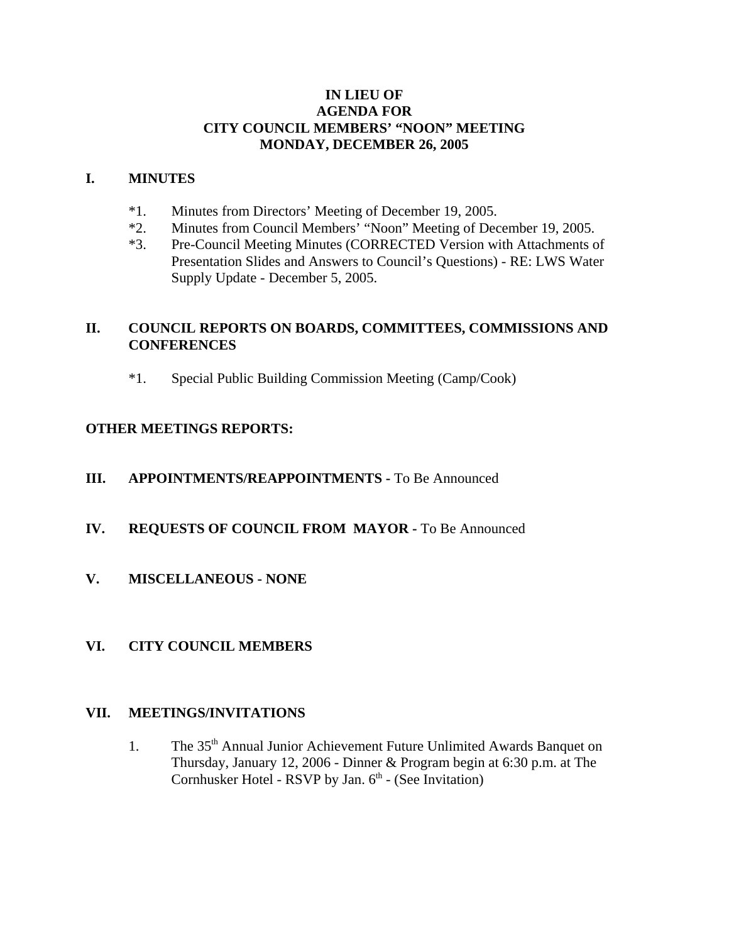#### **IN LIEU OF AGENDA FOR CITY COUNCIL MEMBERS' "NOON" MEETING MONDAY, DECEMBER 26, 2005**

#### **I. MINUTES**

- \*1. Minutes from Directors' Meeting of December 19, 2005.
- \*2. Minutes from Council Members' "Noon" Meeting of December 19, 2005.
- \*3. Pre-Council Meeting Minutes (CORRECTED Version with Attachments of Presentation Slides and Answers to Council's Questions) - RE: LWS Water Supply Update - December 5, 2005.

# **II. COUNCIL REPORTS ON BOARDS, COMMITTEES, COMMISSIONS AND CONFERENCES**

\*1. Special Public Building Commission Meeting (Camp/Cook)

# **OTHER MEETINGS REPORTS:**

- **III.** APPOINTMENTS/REAPPOINTMENTS To Be Announced
- **IV. REQUESTS OF COUNCIL FROM MAYOR -** To Be Announced
- **V. MISCELLANEOUS NONE**

# **VI. CITY COUNCIL MEMBERS**

#### **VII. MEETINGS/INVITATIONS**

1. The 35<sup>th</sup> Annual Junior Achievement Future Unlimited Awards Banquet on Thursday, January 12, 2006 - Dinner & Program begin at 6:30 p.m. at The Cornhusker Hotel - RSVP by Jan.  $6<sup>th</sup>$  - (See Invitation)